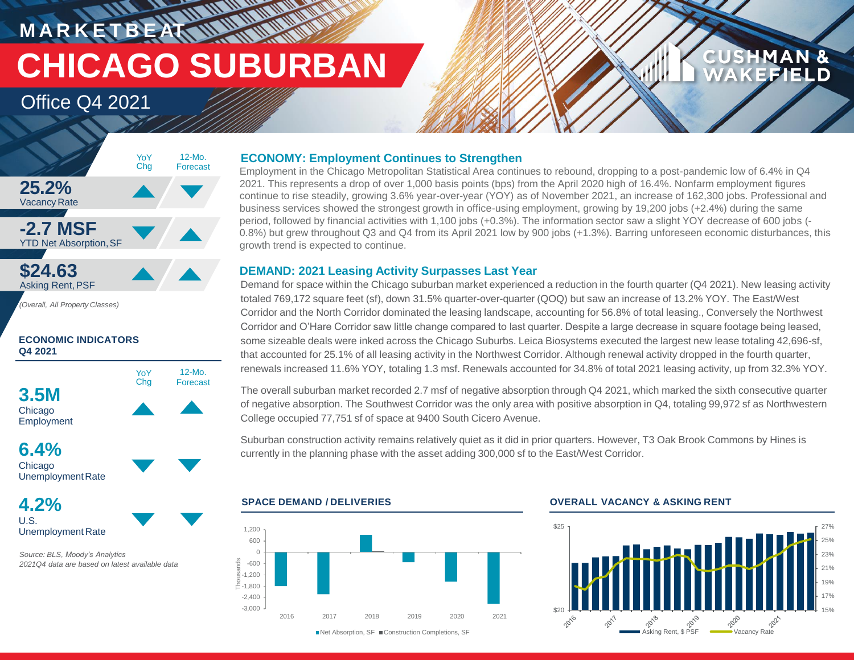**M A R K E T B E AT CHICAGO SUBURBAN**

**WATER** 

## Office Q4 2021



### **ECONOMIC INDICATORS Q4 2021**



**6.4%** Chicago Unemployment Rate

**4.2%** U.S. Unemployment Rate

*Source: BLS, Moody's Analytics 2021Q4 data are based on latest available data*

### **ECONOMY: Employment Continues to Strengthen**

Employment in the Chicago Metropolitan Statistical Area continues to rebound, dropping to a post-pandemic low of 6.4% in Q4 2021. This represents a drop of over 1,000 basis points (bps) from the April 2020 high of 16.4%. Nonfarm employment figures continue to rise steadily, growing 3.6% year-over-year (YOY) as of November 2021, an increase of 162,300 jobs. Professional and business services showed the strongest growth in office-using employment, growing by 19,200 jobs (+2.4%) during the same period, followed by financial activities with 1,100 jobs (+0.3%). The information sector saw a slight YOY decrease of 600 jobs (- 0.8%) but grew throughout Q3 and Q4 from its April 2021 low by 900 jobs (+1.3%). Barring unforeseen economic disturbances, this growth trend is expected to continue.

### **DEMAND: 2021 Leasing Activity Surpasses Last Year**

Demand for space within the Chicago suburban market experienced a reduction in the fourth quarter (Q4 2021). New leasing activity totaled 769,172 square feet (sf), down 31.5% quarter-over-quarter (QOQ) but saw an increase of 13.2% YOY. The East/West Corridor and the North Corridor dominated the leasing landscape, accounting for 56.8% of total leasing., Conversely the Northwest Corridor and O'Hare Corridor saw little change compared to last quarter. Despite a large decrease in square footage being leased, some sizeable deals were inked across the Chicago Suburbs. Leica Biosystems executed the largest new lease totaling 42,696-sf, that accounted for 25.1% of all leasing activity in the Northwest Corridor. Although renewal activity dropped in the fourth quarter, renewals increased 11.6% YOY, totaling 1.3 msf. Renewals accounted for 34.8% of total 2021 leasing activity, up from 32.3% YOY.

The overall suburban market recorded 2.7 msf of negative absorption through Q4 2021, which marked the sixth consecutive quarter of negative absorption. The Southwest Corridor was the only area with positive absorption in Q4, totaling 99,972 sf as Northwestern College occupied 77,751 sf of space at 9400 South Cicero Avenue.

Suburban construction activity remains relatively quiet as it did in prior quarters. However, T3 Oak Brook Commons by Hines is currently in the planning phase with the asset adding 300,000 sf to the East/West Corridor.



### **SPACE DEMAND / DELIVERIES OVERALL VACANCY & ASKING RENT**



**CUSHMAN &** 

FFIEI D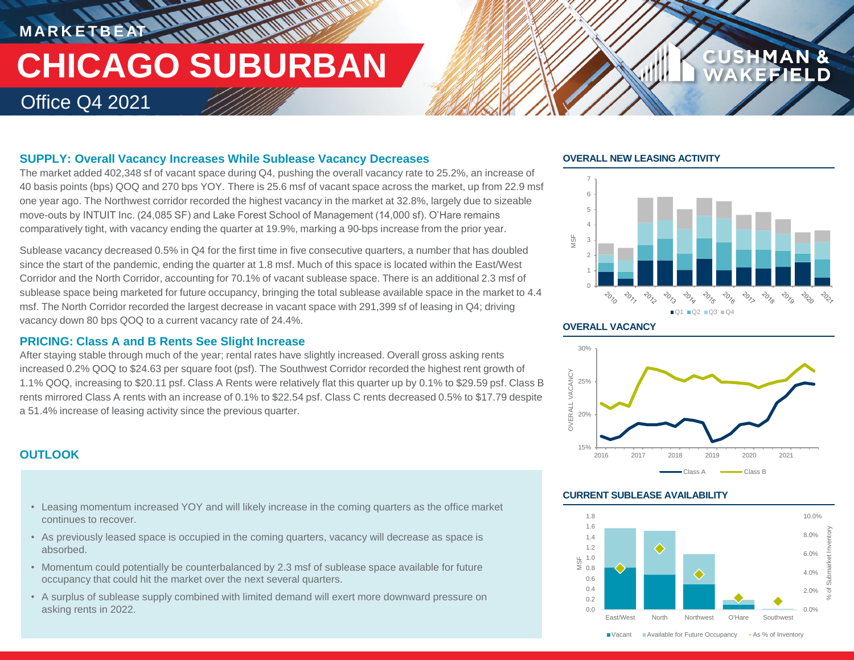# **MARKETBEAT 11 MMWWWW TEAM AND AN AND AND AND ADDRESS CHICAGO SUBURBAN** Office Q4 2021

### **SUPPLY: Overall Vacancy Increases While Sublease Vacancy Decreases**

The market added 402,348 sf of vacant space during Q4, pushing the overall vacancy rate to 25.2%, an increase of 40 basis points (bps) QOQ and 270 bps YOY. There is 25.6 msf of vacant space across the market, up from 22.9 msf one year ago. The Northwest corridor recorded the highest vacancy in the market at 32.8%, largely due to sizeable move-outs by INTUIT Inc. (24,085 SF) and Lake Forest School of Management (14,000 sf). O'Hare remains comparatively tight, with vacancy ending the quarter at 19.9%, marking a 90-bps increase from the prior year.

Sublease vacancy decreased 0.5% in Q4 for the first time in five consecutive quarters, a number that has doubled since the start of the pandemic, ending the quarter at 1.8 msf. Much of this space is located within the East/West Corridor and the North Corridor, accounting for 70.1% of vacant sublease space. There is an additional 2.3 msf of sublease space being marketed for future occupancy, bringing the total sublease available space in the market to 4.4 msf. The North Corridor recorded the largest decrease in vacant space with 291,399 sf of leasing in Q4; driving vacancy down 80 bps QOQ to a current vacancy rate of 24.4%.

### **PRICING: Class A and B Rents See Slight Increase**

After staying stable through much of the year; rental rates have slightly increased. Overall gross asking rents increased 0.2% QOQ to \$24.63 per square foot (psf). The Southwest Corridor recorded the highest rent growth of 1.1% QOQ, increasing to \$20.11 psf. Class A Rents were relatively flat this quarter up by 0.1% to \$29.59 psf. Class B rents mirrored Class A rents with an increase of 0.1% to \$22.54 psf. Class C rents decreased 0.5% to \$17.79 despite a 51.4% increase of leasing activity since the previous quarter.

## **OUTLOOK**

- Leasing momentum increased YOY and will likely increase in the coming quarters as the office market continues to recover.
- As previously leased space is occupied in the coming quarters, vacancy will decrease as space is absorbed.
- Momentum could potentially be counterbalanced by 2.3 msf of sublease space available for future occupancy that could hit the market over the next several quarters.
- A surplus of sublease supply combined with limited demand will exert more downward pressure on asking rents in 2022. Contract the contract of the contract of the contract of the contract of the contract of the contract of the contract of the contract of the contract of the contract of the contract of the contract of

### **OVERALL NEW LEASING ACTIVITY**



**CUSHMAN &** 

### **OVERALL VACANCY**



### **CURRENT SUBLEASE AVAILABILITY**



■ Vacant Available for Future Occupancy • As % of Inventory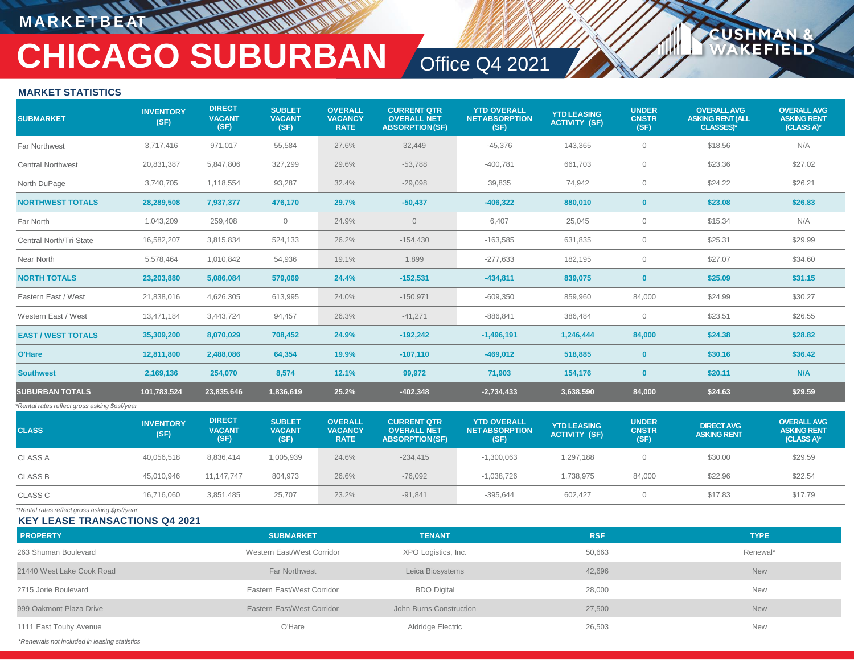## **M A R K E T B E AT**

# **CHICAGO SUBURBAN** Office Q4 2021

**USHM** 

**ELD** 

### **MARKET STATISTICS**

| <b>SUBMARKET</b>                              | <b>INVENTORY</b><br>(SF) | <b>DIRECT</b><br><b>VACANT</b><br>(SF) | <b>SUBLET</b><br><b>VACANT</b><br>(SF) | <b>OVERALL</b><br><b>VACANCY</b><br><b>RATE</b> | <b>CURRENT QTR</b><br><b>OVERALL NET</b><br><b>ABSORPTION(SF)</b> | <b>YTD OVERALL</b><br><b>NET ABSORPTION</b><br>(SF) | <b>YTD LEASING</b><br><b>ACTIVITY (SF)</b> | <b>UNDER</b><br><b>CNSTR</b><br>(SF) | <b>OVERALL AVG</b><br><b>ASKING RENT (ALL</b><br><b>CLASSES)*</b> | <b>OVERALL AVG</b><br><b>ASKING RENT</b><br>(CLASS A)* |
|-----------------------------------------------|--------------------------|----------------------------------------|----------------------------------------|-------------------------------------------------|-------------------------------------------------------------------|-----------------------------------------------------|--------------------------------------------|--------------------------------------|-------------------------------------------------------------------|--------------------------------------------------------|
| <b>Far Northwest</b>                          | 3,717,416                | 971,017                                | 55,584                                 | 27.6%                                           | 32,449                                                            | $-45,376$                                           | 143,365                                    | $\overline{0}$                       | \$18.56                                                           | N/A                                                    |
| <b>Central Northwest</b>                      | 20,831,387               | 5,847,806                              | 327,299                                | 29.6%                                           | $-53,788$                                                         | $-400,781$                                          | 661,703                                    | $\overline{0}$                       | \$23.36                                                           | \$27.02                                                |
| North DuPage                                  | 3,740,705                | 1,118,554                              | 93,287                                 | 32.4%                                           | $-29,098$                                                         | 39,835                                              | 74,942                                     | $\overline{0}$                       | \$24.22                                                           | \$26.21                                                |
| <b>NORTHWEST TOTALS</b>                       | 28,289,508               | 7,937,377                              | 476,170                                | 29.7%                                           | $-50,437$                                                         | $-406,322$                                          | 880,010                                    | $\mathbf{0}$                         | \$23.08                                                           | \$26.83                                                |
| Far North                                     | 1,043,209                | 259,408                                | $\circ$                                | 24.9%                                           | $\overline{0}$                                                    | 6,407                                               | 25,045                                     | $\mathbf{0}$                         | \$15.34                                                           | N/A                                                    |
| Central North/Tri-State                       | 16,582,207               | 3,815,834                              | 524,133                                | 26.2%                                           | $-154,430$                                                        | $-163,585$                                          | 631,835                                    | $\mathbf{0}$                         | \$25.31                                                           | \$29.99                                                |
| Near North                                    | 5,578,464                | 1,010,842                              | 54,936                                 | 19.1%                                           | 1,899                                                             | $-277,633$                                          | 182,195                                    | $\mathbf{0}$                         | \$27.07                                                           | \$34.60                                                |
| <b>NORTH TOTALS</b>                           | 23,203,880               | 5,086,084                              | 579,069                                | 24.4%                                           | $-152,531$                                                        | $-434,811$                                          | 839,075                                    | $\mathbf{0}$                         | \$25.09                                                           | \$31.15                                                |
| Eastern East / West                           | 21,838,016               | 4,626,305                              | 613,995                                | 24.0%                                           | $-150,971$                                                        | $-609,350$                                          | 859,960                                    | 84,000                               | \$24.99                                                           | \$30.27                                                |
| Western East / West                           | 13,471,184               | 3,443,724                              | 94,457                                 | 26.3%                                           | $-41,271$                                                         | $-886, 841$                                         | 386,484                                    | $\overline{0}$                       | \$23.51                                                           | \$26.55                                                |
| <b>EAST / WEST TOTALS</b>                     | 35,309,200               | 8,070,029                              | 708,452                                | 24.9%                                           | $-192,242$                                                        | $-1,496,191$                                        | 1,246,444                                  | 84,000                               | \$24.38                                                           | \$28.82                                                |
| O'Hare                                        | 12,811,800               | 2,488,086                              | 64,354                                 | 19.9%                                           | $-107,110$                                                        | $-469,012$                                          | 518,885                                    | $\bf{0}$                             | \$30.16                                                           | \$36.42                                                |
| <b>Southwest</b>                              | 2,169,136                | 254,070                                | 8,574                                  | 12.1%                                           | 99,972                                                            | 71,903                                              | 154,176                                    | $\mathbf{0}$                         | \$20.11                                                           | N/A                                                    |
| <b>SUBURBAN TOTALS</b>                        | 101,783,524              | 23,835,646                             | 1,836,619                              | 25.2%                                           | $-402,348$                                                        | $-2,734,433$                                        | 3,638,590                                  | 84,000                               | \$24.63                                                           | \$29.59                                                |
| *Rental rates reflect gross asking \$psf/year |                          |                                        |                                        |                                                 |                                                                   |                                                     |                                            |                                      |                                                                   |                                                        |
| <b>CLASS</b>                                  | <b>INVENTORY</b><br>(SF) | <b>DIRECT</b><br><b>VACANT</b><br>(SF) | <b>SUBLET</b><br><b>VACANT</b><br>(SF) | <b>OVERALL</b><br><b>VACANCY</b><br><b>RATE</b> | <b>CURRENT QTR</b><br><b>OVERALL NET</b><br><b>ABSORPTION(SF)</b> | <b>YTD OVERALL</b><br><b>NETABSORPTION</b><br>(SF)  | <b>YTD LEASING</b><br><b>ACTIVITY (SF)</b> | <b>UNDER</b><br><b>CNSTR</b><br>(SF) | <b>DIRECT AVG</b><br><b>ASKING RENT</b>                           | <b>OVERALL AVG</b><br><b>ASKING RENT</b><br>(CLASS A)* |
| <b>CLASS A</b>                                | 40,056,518               | 8,836,414                              | 1,005,939                              | 24.6%                                           | $-234,415$                                                        | $-1,300,063$                                        | 1,297,188                                  | $\overline{0}$                       | \$30.00                                                           | \$29.59                                                |
| <b>CLASS B</b>                                | 45,010,946               | 11, 147, 747                           | 804,973                                | 26.6%                                           | $-76,092$                                                         | $-1,038,726$                                        | 1,738,975                                  | 84,000                               | \$22.96                                                           | \$22.54                                                |
| <b>CLASS C</b>                                | 16,716,060               | 3,851,485                              | 25,707                                 | 23.2%                                           | $-91,841$                                                         | $-395,644$                                          | 602,427                                    | $\mathbf{0}$                         | \$17.83                                                           | \$17.79                                                |
|                                               |                          |                                        |                                        |                                                 |                                                                   |                                                     |                                            |                                      |                                                                   |                                                        |

*\*Rental rates reflect gross asking \$psf/year*

**KEY LEASE TRANSACTIONS Q4 2021**

| <b>PROPERTY</b>                              | <b>SUBMARKET</b>           | <b>TENANT</b>           | <b>RSF</b> | <b>TYPE</b> |
|----------------------------------------------|----------------------------|-------------------------|------------|-------------|
| 263 Shuman Boulevard                         | Western East/West Corridor | XPO Logistics, Inc.     | 50,663     | Renewal*    |
| 21440 West Lake Cook Road                    | <b>Far Northwest</b>       | Leica Biosystems        | 42,696     | <b>New</b>  |
| 2715 Jorie Boulevard                         | Eastern East/West Corridor | <b>BDO Digital</b>      | 28,000     | <b>New</b>  |
| 999 Oakmont Plaza Drive                      | Eastern East/West Corridor | John Burns Construction | 27,500     | <b>New</b>  |
| 1111 East Touhy Avenue                       | O'Hare                     | Aldridge Electric       | 26,503     | <b>New</b>  |
| *Renewals not included in leasing statistics |                            |                         |            |             |